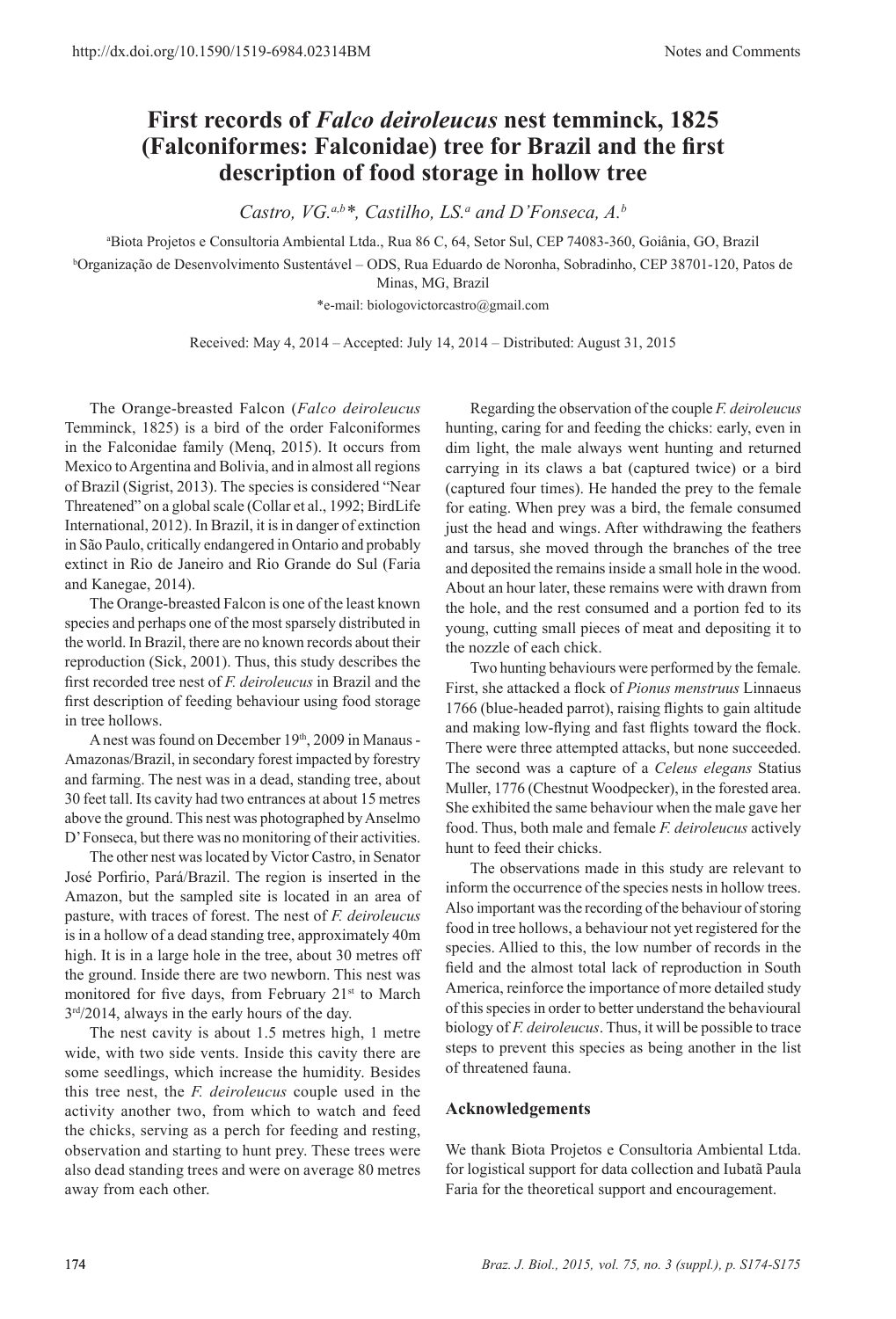## **First records of** *Falco deiroleucus* **nest temminck, 1825 (Falconiformes: Falconidae) tree for Brazil and the first description of food storage in hollow tree**

*Castro, VG.a,b\*, Castilho, LS.<sup>a</sup> and D'Fonseca, A.<sup>b</sup>*

a Biota Projetos e Consultoria Ambiental Ltda., Rua 86 C, 64, Setor Sul, CEP 74083-360, Goiânia, GO, Brazil

b Organização de Desenvolvimento Sustentável – ODS, Rua Eduardo de Noronha, Sobradinho, CEP 38701-120, Patos de Minas, MG, Brazil

\*e-mail: biologovictorcastro@gmail.com

Received: May 4, 2014 – Accepted: July 14, 2014 – Distributed: August 31, 2015

The Orange-breasted Falcon (*Falco deiroleucus* Temminck, 1825) is a bird of the order Falconiformes in the Falconidae family (Menq, 2015). It occurs from Mexico to Argentina and Bolivia, and in almost all regions of Brazil (Sigrist, 2013). The species is considered "Near Threatened" on a global scale (Collar et al., 1992; BirdLife International, 2012). In Brazil, it is in danger of extinction in São Paulo, critically endangered in Ontario and probably extinct in Rio de Janeiro and Rio Grande do Sul (Faria and Kanegae, 2014).

The Orange-breasted Falcon is one of the least known species and perhaps one of the most sparsely distributed in the world. In Brazil, there are no known records about their reproduction (Sick, 2001). Thus, this study describes the first recorded tree nest of *F. deiroleucus* in Brazil and the first description of feeding behaviour using food storage in tree hollows.

A nest was found on December 19<sup>th</sup>, 2009 in Manaus -Amazonas/Brazil, in secondary forest impacted by forestry and farming. The nest was in a dead, standing tree, about 30 feet tall. Its cavity had two entrances at about 15 metres above the ground. This nest was photographed by Anselmo D' Fonseca, but there was no monitoring of their activities.

The other nest was located by Victor Castro, in Senator José Porfirio, Pará/Brazil. The region is inserted in the Amazon, but the sampled site is located in an area of pasture, with traces of forest. The nest of *F. deiroleucus* is in a hollow of a dead standing tree, approximately 40m high. It is in a large hole in the tree, about 30 metres off the ground. Inside there are two newborn. This nest was monitored for five days, from February 21<sup>st</sup> to March 3rd/2014, always in the early hours of the day.

The nest cavity is about 1.5 metres high, 1 metre wide, with two side vents. Inside this cavity there are some seedlings, which increase the humidity. Besides this tree nest, the *F. deiroleucus* couple used in the activity another two, from which to watch and feed the chicks, serving as a perch for feeding and resting, observation and starting to hunt prey. These trees were also dead standing trees and were on average 80 metres away from each other.

Regarding the observation of the couple *F. deiroleucus* hunting, caring for and feeding the chicks: early, even in dim light, the male always went hunting and returned carrying in its claws a bat (captured twice) or a bird (captured four times). He handed the prey to the female for eating. When prey was a bird, the female consumed just the head and wings. After withdrawing the feathers and tarsus, she moved through the branches of the tree and deposited the remains inside a small hole in the wood. About an hour later, these remains were with drawn from the hole, and the rest consumed and a portion fed to its young, cutting small pieces of meat and depositing it to the nozzle of each chick.

Two hunting behaviours were performed by the female. First, she attacked a flock of *Pionus menstruus* Linnaeus 1766 (blue-headed parrot), raising flights to gain altitude and making low-flying and fast flights toward the flock. There were three attempted attacks, but none succeeded. The second was a capture of a *Celeus elegans* Statius Muller, 1776 (Chestnut Woodpecker), in the forested area. She exhibited the same behaviour when the male gave her food. Thus, both male and female *F. deiroleucus* actively hunt to feed their chicks.

The observations made in this study are relevant to inform the occurrence of the species nests in hollow trees. Also important was the recording of the behaviour of storing food in tree hollows, a behaviour not yet registered for the species. Allied to this, the low number of records in the field and the almost total lack of reproduction in South America, reinforce the importance of more detailed study of this species in order to better understand the behavioural biology of *F. deiroleucus*. Thus, it will be possible to trace steps to prevent this species as being another in the list of threatened fauna.

## **Acknowledgements**

We thank Biota Projetos e Consultoria Ambiental Ltda. for logistical support for data collection and Iubatã Paula Faria for the theoretical support and encouragement.